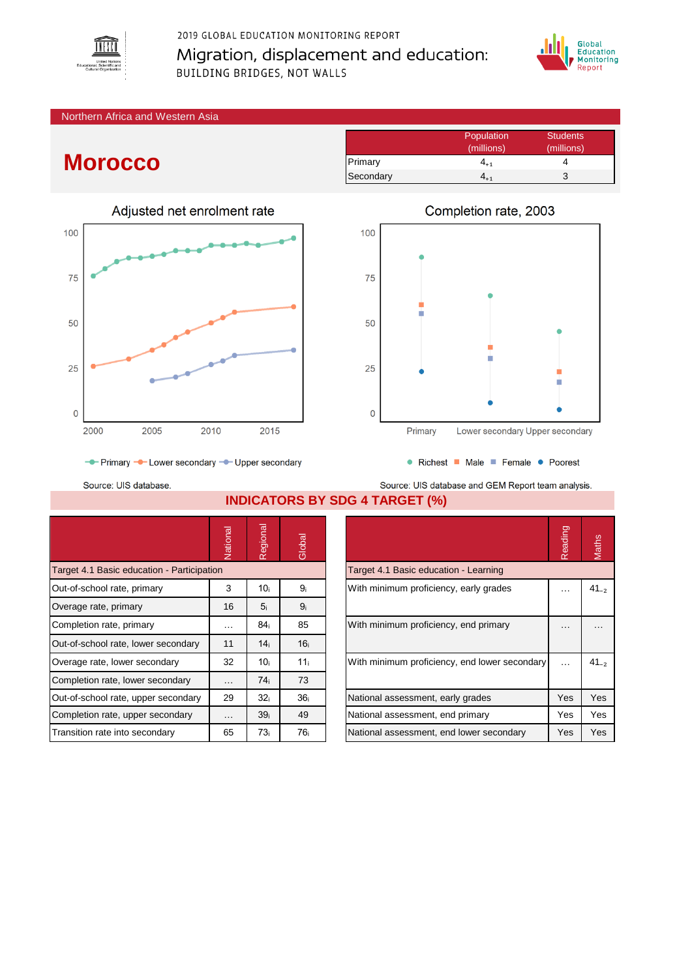

2019 GLOBAL EDUCATION MONITORING REPORT Migration, displacement and education: **BUILDING BRIDGES, NOT WALLS** 



## Northern Africa and Western Asia

## **Morocco**



|           | Population      | <b>Students</b> |
|-----------|-----------------|-----------------|
|           | (millions)      | (millions)      |
| Primary   | 4 <sub>+1</sub> |                 |
| Secondary |                 | З               |



● Richest ■ Male ■ Female ● Poorest

- Primary - Lower secondary - Upper secondary

Source: UIS database.

Source: UIS database and GEM Report team analysis. **INDICATORS BY SDG 4 TARGET (%)**

|                                            | Vational             | Regional        | Global          |                                               | Reading | Maths     |
|--------------------------------------------|----------------------|-----------------|-----------------|-----------------------------------------------|---------|-----------|
| Target 4.1 Basic education - Participation |                      |                 |                 | Target 4.1 Basic education - Learning         |         |           |
| Out-of-school rate, primary                | 3                    | 10 <sub>i</sub> | 9ì              | With minimum proficiency, early grades        | .       | $41_{-2}$ |
| Overage rate, primary                      | 16                   | 5 <sub>i</sub>  | 9 <sub>i</sub>  |                                               |         |           |
| Completion rate, primary                   | $\sim$ $\sim$ $\sim$ | 84 <sub>i</sub> | 85              | With minimum proficiency, end primary         |         | $\cdots$  |
| Out-of-school rate, lower secondary        | 11                   | 14 <sub>i</sub> | 16 <sub>i</sub> |                                               |         |           |
| Overage rate, lower secondary              | 32                   | 10 <sub>i</sub> | 11 <sub>i</sub> | With minimum proficiency, end lower secondary |         | $41_{-2}$ |
| Completion rate, lower secondary           | $\cdots$             | 74 <sub>i</sub> | 73              |                                               |         |           |
| Out-of-school rate, upper secondary        | 29                   | 32 <sub>i</sub> | 36 <sub>i</sub> | National assessment, early grades             | Yes     | Yes       |
| Completion rate, upper secondary           | $\cdots$             | 39 <sub>i</sub> | 49              | National assessment, end primary              | Yes     | Yes       |
| Transition rate into secondary             | 65                   | 73 <sub>i</sub> | 76 <sub>i</sub> | National assessment, end lower secondary      | Yes     | Yes       |

|                                               | Reading |           |
|-----------------------------------------------|---------|-----------|
| Target 4.1 Basic education - Learning         |         |           |
| With minimum proficiency, early grades        |         | $41_{-2}$ |
| With minimum proficiency, end primary         |         |           |
| With minimum proficiency, end lower secondary |         | $41_{-2}$ |
| National assessment, early grades             | Yes     | Yes       |
| National assessment, end primary              | Yes     | Yes       |
| National assessment, end lower secondary      | Yes     | Yes       |

## Completion rate, 2003